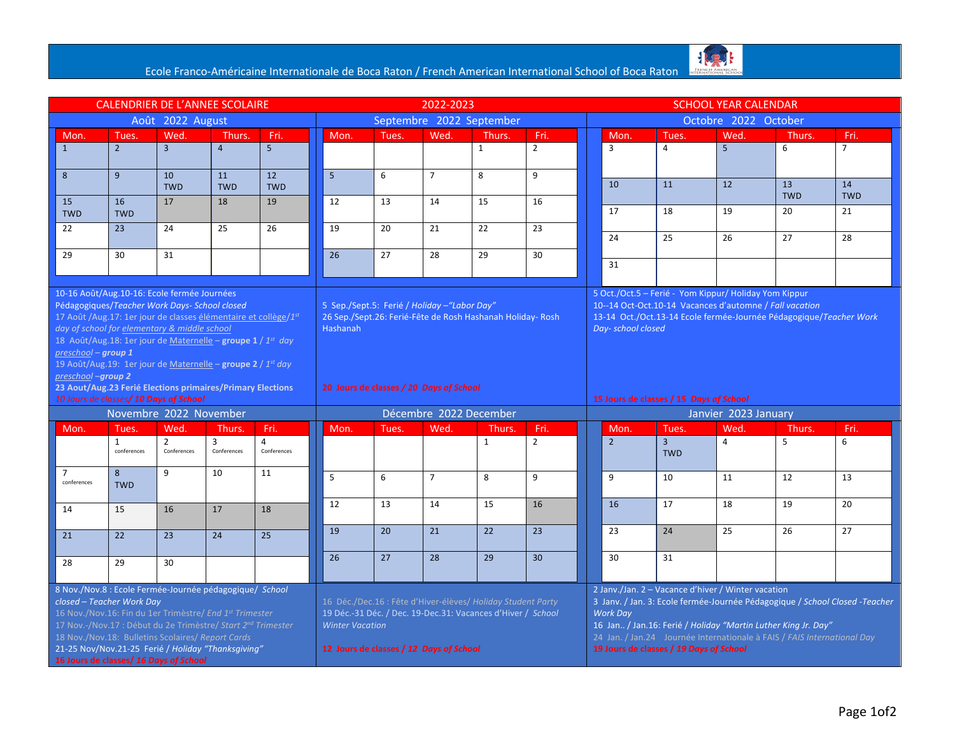

|                                                                                                                                                                                                                                                                                                                                                                                                                                                                  | <b>CALENDRIER DE L'ANNEE SCOLAIRE</b> | 2022-2023                                                                                                                                                        |                        |                      |                                                                                                                                                                                                 |       |                | <b>SCHOOL YEAR CALENDAR</b>             |                        |                                                                                                                                                                                        |                                                                                                                                                                                                                                                                                                                                             |                         |                |             |                |  |  |
|------------------------------------------------------------------------------------------------------------------------------------------------------------------------------------------------------------------------------------------------------------------------------------------------------------------------------------------------------------------------------------------------------------------------------------------------------------------|---------------------------------------|------------------------------------------------------------------------------------------------------------------------------------------------------------------|------------------------|----------------------|-------------------------------------------------------------------------------------------------------------------------------------------------------------------------------------------------|-------|----------------|-----------------------------------------|------------------------|----------------------------------------------------------------------------------------------------------------------------------------------------------------------------------------|---------------------------------------------------------------------------------------------------------------------------------------------------------------------------------------------------------------------------------------------------------------------------------------------------------------------------------------------|-------------------------|----------------|-------------|----------------|--|--|
| Août 2022 August                                                                                                                                                                                                                                                                                                                                                                                                                                                 |                                       |                                                                                                                                                                  |                        |                      | Septembre 2022 September                                                                                                                                                                        |       |                |                                         |                        |                                                                                                                                                                                        | Octobre 2022 October                                                                                                                                                                                                                                                                                                                        |                         |                |             |                |  |  |
| Mon.                                                                                                                                                                                                                                                                                                                                                                                                                                                             | Tues.                                 | Wed.                                                                                                                                                             | Thurs.                 | Fri.                 | Mon.                                                                                                                                                                                            | Tues. | Wed.           | Thurs.                                  | Fri.                   |                                                                                                                                                                                        | Mon.                                                                                                                                                                                                                                                                                                                                        | Tues.                   | Wed.           | Thurs.      | Fri.           |  |  |
| $\mathbf{1}$                                                                                                                                                                                                                                                                                                                                                                                                                                                     | $2^{\circ}$                           | $\overline{3}$                                                                                                                                                   | $\overline{4}$         | $5\overline{5}$      |                                                                                                                                                                                                 |       |                | $\mathbf{1}$                            | $\overline{2}$         |                                                                                                                                                                                        | $\overline{3}$                                                                                                                                                                                                                                                                                                                              | $\overline{4}$          | $\overline{5}$ | 6           | $\overline{7}$ |  |  |
| 8                                                                                                                                                                                                                                                                                                                                                                                                                                                                | $\overline{9}$                        | 10                                                                                                                                                               | 11                     | 12                   | $\overline{5}$                                                                                                                                                                                  | 6     | $\overline{7}$ | 8                                       | 9                      |                                                                                                                                                                                        |                                                                                                                                                                                                                                                                                                                                             |                         |                |             |                |  |  |
|                                                                                                                                                                                                                                                                                                                                                                                                                                                                  |                                       | <b>TWD</b>                                                                                                                                                       | <b>TWD</b>             | <b>TWD</b>           |                                                                                                                                                                                                 |       |                |                                         |                        |                                                                                                                                                                                        | 10                                                                                                                                                                                                                                                                                                                                          | 11                      | 12             | 13          | 14             |  |  |
| 15                                                                                                                                                                                                                                                                                                                                                                                                                                                               | 16                                    | 17                                                                                                                                                               | 18                     | 19                   | 12                                                                                                                                                                                              | 13    | 14             | 15                                      | 16                     |                                                                                                                                                                                        |                                                                                                                                                                                                                                                                                                                                             |                         |                | <b>TWD</b>  | <b>TWD</b>     |  |  |
| <b>TWD</b>                                                                                                                                                                                                                                                                                                                                                                                                                                                       | <b>TWD</b>                            |                                                                                                                                                                  |                        |                      |                                                                                                                                                                                                 |       |                |                                         |                        |                                                                                                                                                                                        | 17                                                                                                                                                                                                                                                                                                                                          | 18                      | 19             | 20          | 21             |  |  |
| 22                                                                                                                                                                                                                                                                                                                                                                                                                                                               | 23                                    | 24                                                                                                                                                               | 25                     | 26                   | 19                                                                                                                                                                                              | 20    | 21             | 22                                      | 23                     |                                                                                                                                                                                        | 24                                                                                                                                                                                                                                                                                                                                          | 25                      | 26             | 27          | 28             |  |  |
|                                                                                                                                                                                                                                                                                                                                                                                                                                                                  |                                       | 31                                                                                                                                                               |                        |                      | 26                                                                                                                                                                                              | 27    |                |                                         |                        |                                                                                                                                                                                        |                                                                                                                                                                                                                                                                                                                                             |                         |                |             |                |  |  |
| 29                                                                                                                                                                                                                                                                                                                                                                                                                                                               | 30                                    |                                                                                                                                                                  |                        |                      |                                                                                                                                                                                                 |       | 28             | 29                                      | 30                     |                                                                                                                                                                                        | 31                                                                                                                                                                                                                                                                                                                                          |                         |                |             |                |  |  |
|                                                                                                                                                                                                                                                                                                                                                                                                                                                                  |                                       |                                                                                                                                                                  |                        |                      |                                                                                                                                                                                                 |       |                |                                         |                        |                                                                                                                                                                                        |                                                                                                                                                                                                                                                                                                                                             |                         |                |             |                |  |  |
| 10-16 Août/Aug.10-16: Ecole fermée Journées<br>Pédagogiques/Teacher Work Days- School closed<br>17 Août / Aug. 17: 1er jour de classes élémentaire et collège/1st<br>day of school for elementary & middle school<br>18 Août/Aug.18: 1er jour de Maternelle - groupe 1 / 1st day<br>$preschool - group 1$<br>19 Août/Aug.19: 1er jour de Maternelle – groupe $2 / 1^{st}$ day<br>preschool-group 2<br>23 Aout/Aug.23 Ferié Elections primaires/Primary Elections |                                       | 5 Sep./Sept.5: Ferié / Holiday - "Labor Day"<br>26 Sep./Sept.26: Ferié-Fête de Rosh Hashanah Holiday-Rosh<br>Hashanah<br>20 Jours de classes / 20 Days of School |                        |                      |                                                                                                                                                                                                 |       |                | Day- school closed                      |                        | 5 Oct./Oct.5 - Ferié - Yom Kippur/ Holiday Yom Kippur<br>10--14 Oct-Oct.10-14 Vacances d'automne / Fall vacation<br>13-14 Oct./Oct.13-14 Ecole fermée-Journée Pédagogique/Teacher Work |                                                                                                                                                                                                                                                                                                                                             |                         |                |             |                |  |  |
| 10 Jours de classes/ 10 Days of School                                                                                                                                                                                                                                                                                                                                                                                                                           |                                       |                                                                                                                                                                  |                        |                      |                                                                                                                                                                                                 |       |                | 15 Jours de classes / 15 Days of School |                        |                                                                                                                                                                                        |                                                                                                                                                                                                                                                                                                                                             |                         |                |             |                |  |  |
|                                                                                                                                                                                                                                                                                                                                                                                                                                                                  | Novembre 2022 November                |                                                                                                                                                                  | Décembre 2022 December |                      |                                                                                                                                                                                                 |       |                |                                         | Janvier 2023 January   |                                                                                                                                                                                        |                                                                                                                                                                                                                                                                                                                                             |                         |                |             |                |  |  |
| Mon.                                                                                                                                                                                                                                                                                                                                                                                                                                                             | Tues.<br>$\mathbf{1}$                 | Wed.<br>$\overline{2}$                                                                                                                                           | <b>Thurs</b><br>3      | Fri.<br>$\mathbf{A}$ | Mon.                                                                                                                                                                                            | Tues. | Wed.           | Thurs.<br>$\mathbf{1}$                  | Fri.<br>$\overline{2}$ |                                                                                                                                                                                        | Mon.<br>$\overline{2}$                                                                                                                                                                                                                                                                                                                      | Tues.<br>$\overline{3}$ | Wed.<br>4      | Thurs.<br>5 | Fri.<br>6      |  |  |
|                                                                                                                                                                                                                                                                                                                                                                                                                                                                  | conferences                           | Conferences                                                                                                                                                      | Conferences            | Conferences          |                                                                                                                                                                                                 |       |                |                                         |                        |                                                                                                                                                                                        |                                                                                                                                                                                                                                                                                                                                             | <b>TWD</b>              |                |             |                |  |  |
| $\overline{7}$<br>conferences                                                                                                                                                                                                                                                                                                                                                                                                                                    | 8<br><b>TWD</b>                       | $\overline{9}$                                                                                                                                                   | 10                     | 11                   | 5                                                                                                                                                                                               | 6     | $\overline{7}$ | 8                                       | 9                      |                                                                                                                                                                                        | 9                                                                                                                                                                                                                                                                                                                                           | 10                      | 11             | 12          | 13             |  |  |
| 14                                                                                                                                                                                                                                                                                                                                                                                                                                                               | 15                                    | 16                                                                                                                                                               | 17                     | 18                   | 12                                                                                                                                                                                              | 13    | 14             | 15                                      | 16                     |                                                                                                                                                                                        | 16                                                                                                                                                                                                                                                                                                                                          | 17                      | 18             | 19          | 20             |  |  |
| 21                                                                                                                                                                                                                                                                                                                                                                                                                                                               | 22                                    | 23                                                                                                                                                               | 24                     | 25                   | 19                                                                                                                                                                                              | 20    | 21             | 22                                      | 23                     |                                                                                                                                                                                        | 23                                                                                                                                                                                                                                                                                                                                          | 24                      | 25             | 26          | 27             |  |  |
| 28                                                                                                                                                                                                                                                                                                                                                                                                                                                               | 29                                    | 30                                                                                                                                                               |                        |                      | 26                                                                                                                                                                                              | 27    | 28             | 29                                      | 30                     |                                                                                                                                                                                        | 30                                                                                                                                                                                                                                                                                                                                          | 31                      |                |             |                |  |  |
|                                                                                                                                                                                                                                                                                                                                                                                                                                                                  |                                       |                                                                                                                                                                  |                        |                      |                                                                                                                                                                                                 |       |                |                                         |                        |                                                                                                                                                                                        |                                                                                                                                                                                                                                                                                                                                             |                         |                |             |                |  |  |
| 8 Nov./Nov.8 : Ecole Fermée-Journée pédagogique/ School<br>closed - Teacher Work Day<br>16 Nov./Nov.16: Fin du 1er Trimèstre/ End 1st Trimester<br>17 Nov.-/Nov.17 : Début du 2e Trimèstre/ Start 2nd Trimester<br>18 Nov./Nov.18: Bulletins Scolaires/ Report Cards<br>21-25 Nov/Nov.21-25 Ferié / Holiday "Thanksqiving"<br>16 Jours de classes/ 16 Days of School                                                                                             |                                       |                                                                                                                                                                  |                        |                      | 16 Déc./Dec.16 : Fête d'Hiver-élèves/ Holiday Student Party<br>19 Déc.-31 Déc. / Dec. 19-Dec.31: Vacances d'Hiver / School<br><b>Winter Vacation</b><br>12 Jours de classes / 12 Days of School |       |                |                                         |                        |                                                                                                                                                                                        | 2 Janv./Jan. 2 - Vacance d'hiver / Winter vacation<br>3 Janv. / Jan. 3: Ecole fermée-Journée Pédagogique / School Closed -Teacher<br><b>Work Day</b><br>16 Jan / Jan.16: Ferié / Holiday "Martin Luther King Jr. Day"<br>24 Jan. / Jan.24 Journée Internationale à FAIS / FAIS International Day<br>19 Jours de classes / 19 Days of School |                         |                |             |                |  |  |